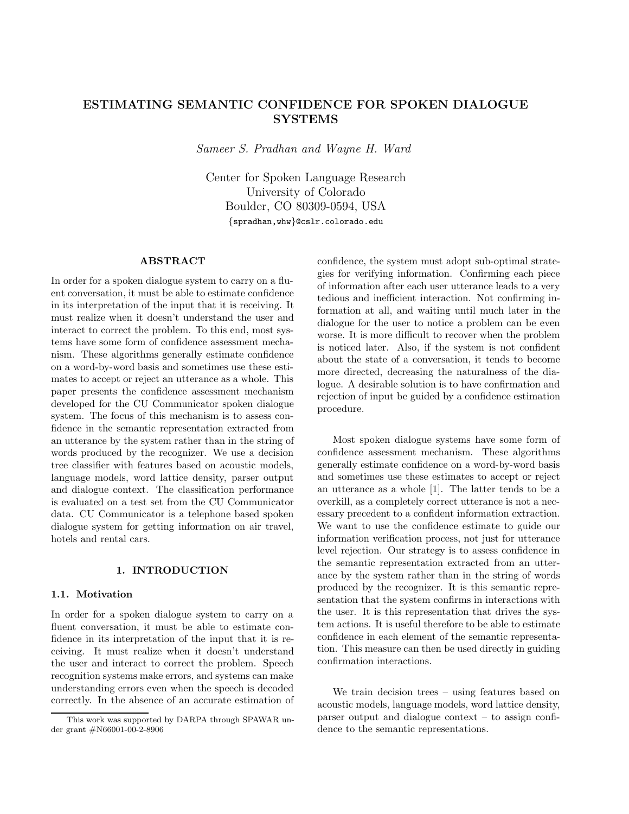# **ESTIMATING SEMANTIC CONFIDENCE FOR SPOKEN DIALOGUE SYSTEMS**

*Sameer S. Pradhan and Wayne H. Ward*

Center for Spoken Language Research University of Colorado Boulder, CO 80309-0594, USA *{*spradhan,whw*}*@cslr.colorado.edu

# **ABSTRACT**

In order for a spoken dialogue system to carry on a fluent conversation, it must be able to estimate confidence in its interpretation of the input that it is receiving. It must realize when it doesn't understand the user and interact to correct the problem. To this end, most systems have some form of confidence assessment mechanism. These algorithms generally estimate confidence on a word-by-word basis and sometimes use these estimates to accept or reject an utterance as a whole. This paper presents the confidence assessment mechanism developed for the CU Communicator spoken dialogue system. The focus of this mechanism is to assess confidence in the semantic representation extracted from an utterance by the system rather than in the string of words produced by the recognizer. We use a decision tree classifier with features based on acoustic models, language models, word lattice density, parser output and dialogue context. The classification performance is evaluated on a test set from the CU Communicator data. CU Communicator is a telephone based spoken dialogue system for getting information on air travel, hotels and rental cars.

## **1. INTRODUCTION**

### **1.1. Motivation**

In order for a spoken dialogue system to carry on a fluent conversation, it must be able to estimate confidence in its interpretation of the input that it is receiving. It must realize when it doesn't understand the user and interact to correct the problem. Speech recognition systems make errors, and systems can make understanding errors even when the speech is decoded correctly. In the absence of an accurate estimation of confidence, the system must adopt sub-optimal strategies for verifying information. Confirming each piece of information after each user utterance leads to a very tedious and inefficient interaction. Not confirming information at all, and waiting until much later in the dialogue for the user to notice a problem can be even worse. It is more difficult to recover when the problem is noticed later. Also, if the system is not confident about the state of a conversation, it tends to become more directed, decreasing the naturalness of the dialogue. A desirable solution is to have confirmation and rejection of input be guided by a confidence estimation procedure.

Most spoken dialogue systems have some form of confidence assessment mechanism. These algorithms generally estimate confidence on a word-by-word basis and sometimes use these estimates to accept or reject an utterance as a whole [1]. The latter tends to be a overkill, as a completely correct utterance is not a necessary precedent to a confident information extraction. We want to use the confidence estimate to guide our information verification process, not just for utterance level rejection. Our strategy is to assess confidence in the semantic representation extracted from an utterance by the system rather than in the string of words produced by the recognizer. It is this semantic representation that the system confirms in interactions with the user. It is this representation that drives the system actions. It is useful therefore to be able to estimate confidence in each element of the semantic representation. This measure can then be used directly in guiding confirmation interactions.

We train decision trees – using features based on acoustic models, language models, word lattice density, parser output and dialogue context – to assign confidence to the semantic representations.

This work was supported by DARPA through SPAWAR under grant #N66001-00-2-8906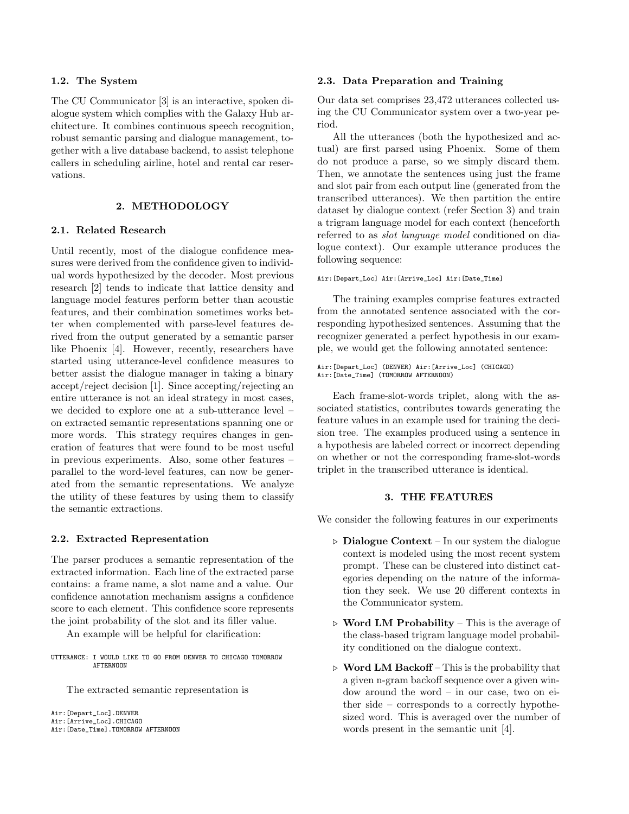#### **1.2. The System**

The CU Communicator [3] is an interactive, spoken dialogue system which complies with the Galaxy Hub architecture. It combines continuous speech recognition, robust semantic parsing and dialogue management, together with a live database backend, to assist telephone callers in scheduling airline, hotel and rental car reservations.

## **2. METHODOLOGY**

## **2.1. Related Research**

Until recently, most of the dialogue confidence measures were derived from the confidence given to individual words hypothesized by the decoder. Most previous research [2] tends to indicate that lattice density and language model features perform better than acoustic features, and their combination sometimes works better when complemented with parse-level features derived from the output generated by a semantic parser like Phoenix [4]. However, recently, researchers have started using utterance-level confidence measures to better assist the dialogue manager in taking a binary accept/reject decision [1]. Since accepting/rejecting an entire utterance is not an ideal strategy in most cases, we decided to explore one at a sub-utterance level – on extracted semantic representations spanning one or more words. This strategy requires changes in generation of features that were found to be most useful in previous experiments. Also, some other features – parallel to the word-level features, can now be generated from the semantic representations. We analyze the utility of these features by using them to classify the semantic extractions.

#### **2.2. Extracted Representation**

The parser produces a semantic representation of the extracted information. Each line of the extracted parse contains: a frame name, a slot name and a value. Our confidence annotation mechanism assigns a confidence score to each element. This confidence score represents the joint probability of the slot and its filler value.

An example will be helpful for clarification:

UTTERANCE: I WOULD LIKE TO GO FROM DENVER TO CHICAGO TOMORROW **AFTERNOON** 

The extracted semantic representation is

```
Air:[Depart_Loc].DENVER
Air:[Arrive_Loc].CHICAGO
Air:[Date_Time].TOMORROW AFTERNOON
```
#### **2.3. Data Preparation and Training**

Our data set comprises 23,472 utterances collected using the CU Communicator system over a two-year period.

All the utterances (both the hypothesized and actual) are first parsed using Phoenix. Some of them do not produce a parse, so we simply discard them. Then, we annotate the sentences using just the frame and slot pair from each output line (generated from the transcribed utterances). We then partition the entire dataset by dialogue context (refer Section 3) and train a trigram language model for each context (henceforth referred to as *slot language model* conditioned on dialogue context). Our example utterance produces the following sequence:

Air:[Depart\_Loc] Air:[Arrive\_Loc] Air:[Date\_Time]

The training examples comprise features extracted from the annotated sentence associated with the corresponding hypothesized sentences. Assuming that the recognizer generated a perfect hypothesis in our example, we would get the following annotated sentence:

```
Air:[Depart_Loc] (DENVER) Air:[Arrive_Loc] (CHICAGO)
Air:[Date_Time] (TOMORROW AFTERNOON)
```
Each frame-slot-words triplet, along with the associated statistics, contributes towards generating the feature values in an example used for training the decision tree. The examples produced using a sentence in a hypothesis are labeled correct or incorrect depending on whether or not the corresponding frame-slot-words triplet in the transcribed utterance is identical.

## **3. THE FEATURES**

We consider the following features in our experiments

- $\triangleright$  **Dialogue Context** In our system the dialogue context is modeled using the most recent system prompt. These can be clustered into distinct categories depending on the nature of the information they seek. We use 20 different contexts in the Communicator system.
- $\triangleright$  **Word LM Probability** This is the average of the class-based trigram language model probability conditioned on the dialogue context.
- $\triangleright$  Word LM Backoff This is the probability that a given n-gram backoff sequence over a given window around the word – in our case, two on either side – corresponds to a correctly hypothesized word. This is averaged over the number of words present in the semantic unit [4].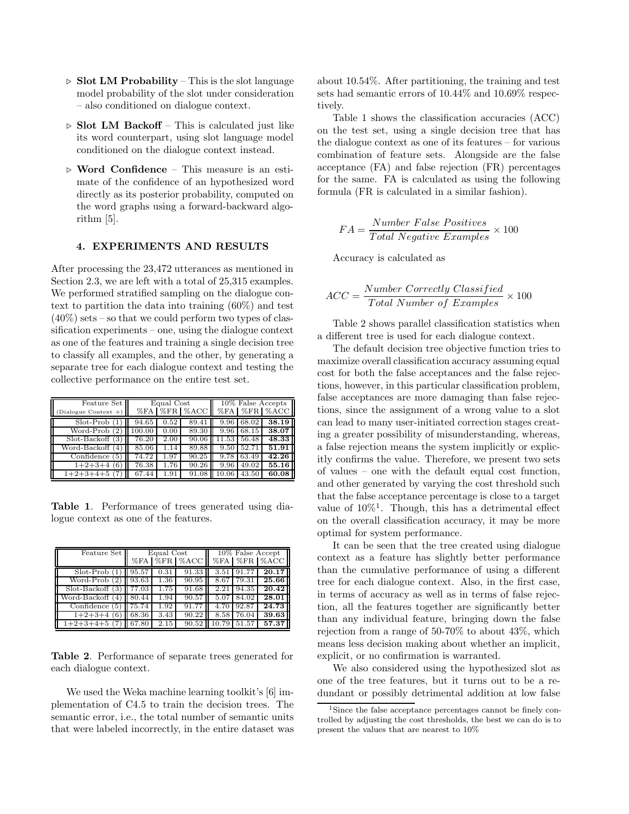- $\triangleright$  **Slot LM Probability** This is the slot language model probability of the slot under consideration – also conditioned on dialogue context.
- $\triangleright$  **Slot LM Backoff** This is calculated just like its word counterpart, using slot language model conditioned on the dialogue context instead.
- **Word Confidence** This measure is an estimate of the confidence of an hypothesized word directly as its posterior probability, computed on the word graphs using a forward-backward algorithm [5].

#### **4. EXPERIMENTS AND RESULTS**

After processing the 23,472 utterances as mentioned in Section 2.3, we are left with a total of  $25,315$  examples. We performed stratified sampling on the dialogue context to partition the data into training (60%) and test  $(40\%)$  sets – so that we could perform two types of classification experiments – one, using the dialogue context as one of the features and training a single decision tree to classify all examples, and the other, by generating a separate tree for each dialogue context and testing the collective performance on the entire test set.

| Feature Set         | Equal Cost |      |                  | $10\%$ False Accepts |             |              |
|---------------------|------------|------|------------------|----------------------|-------------|--------------|
| Dialogue Context +) |            |      | %FA   %FR   %ACC |                      |             | %FA %FR %ACC |
| Slot-Prob           | 94.65      | 0.52 | 89.41            | 9.96                 | 68.02       | 38.19        |
| Word-Prob           | 100.00     | 0.00 | 89.30            | 9.96                 | 68.15       | 38.07        |
| $Slot-Backoff(3)$   | 76.20      | 2.00 | 90.06            |                      | 11.53 56.48 | 48.33        |
| Word-Backoff (4)    | 85.06      | 1.14 | 89.88            | 9.50                 | 52.71       | 51.91        |
| Confidence<br>51    | 74.72      | 1.97 | 90.25            | 9.78                 | 63.49       | 42.26        |
| $1+2+3+4$<br>(6)    | 76.38      | 1.76 | 90.26            | 9.96                 | 49.02       | 55.16        |
| $1+2+3+4+5$         | 67.44      | 1.91 | 91.08            |                      | 43.50       | 60.08        |

**Table 1**. Performance of trees generated using dialogue context as one of the features.

| Feature Set         | Equal Cost<br>%FA   %FR   %ACC |      |       | $10\%$ False Accept<br>%FA   %FR   %ACC |       |       |
|---------------------|--------------------------------|------|-------|-----------------------------------------|-------|-------|
| $Slot-Prob(1)$      | 95.57                          | 0.31 | 91.33 | 3.51                                    | 91.77 | 20.17 |
| Word-Prob<br>(2)    | 93.63                          | 1.36 | 90.95 | 8.67                                    | 79.31 | 25.66 |
| $Slot-Backoff(3)$   | 77.03                          | 1.75 | 91.68 | 2.21                                    | 94.35 | 20.42 |
| Word-Backoff<br>(4) | 80.44                          | 1.94 | 90.57 | 5.07                                    | 84.02 | 28.01 |
| Confidence<br>'5)   | 75.74                          | 1.92 | 91.77 | 4.70                                    | 92.87 | 24.73 |
| $1+2+3+4$<br>(6)    | 68.36                          | 3.43 | 90.22 | 8.58                                    | 76.04 | 39.63 |
| $1+2+3+4+5$         | 67.80                          | 2.15 | 90.52 | 10.79                                   | 51.57 | 57.37 |

**Table 2**. Performance of separate trees generated for each dialogue context.

We used the Weka machine learning toolkit's [6] implementation of C4.5 to train the decision trees. The semantic error, i.e., the total number of semantic units that were labeled incorrectly, in the entire dataset was about 10.54%. After partitioning, the training and test sets had semantic errors of 10.44% and 10.69% respectively.

Table 1 shows the classification accuracies (ACC) on the test set, using a single decision tree that has the dialogue context as one of its features – for various combination of feature sets. Alongside are the false acceptance (FA) and false rejection (FR) percentages for the same. FA is calculated as using the following formula (FR is calculated in a similar fashion).

$$
FA = \frac{Number\ False\ Positive}{Total\ Negative\ Examples} \times 100
$$

Accuracy is calculated as

$$
ACC = \frac{Number~Correctly~Classified}{Total~Number~of~Examples} \times 100
$$

Table 2 shows parallel classification statistics when a different tree is used for each dialogue context.

The default decision tree objective function tries to maximize overall classification accuracy assuming equal cost for both the false acceptances and the false rejections, however, in this particular classification problem, false acceptances are more damaging than false rejections, since the assignment of a wrong value to a slot can lead to many user-initiated correction stages creating a greater possibility of misunderstanding, whereas, a false rejection means the system implicitly or explicitly confirms the value. Therefore, we present two sets of values – one with the default equal cost function, and other generated by varying the cost threshold such that the false acceptance percentage is close to a target value of  $10\%$ <sup>1</sup>. Though, this has a detrimental effect on the overall classification accuracy, it may be more optimal for system performance.

It can be seen that the tree created using dialogue context as a feature has slightly better performance than the cumulative performance of using a different tree for each dialogue context. Also, in the first case, in terms of accuracy as well as in terms of false rejection, all the features together are significantly better than any individual feature, bringing down the false rejection from a range of 50-70% to about 43%, which means less decision making about whether an implicit, explicit, or no confirmation is warranted.

We also considered using the hypothesized slot as one of the tree features, but it turns out to be a redundant or possibly detrimental addition at low false

<sup>&</sup>lt;sup>1</sup>Since the false acceptance percentages cannot be finely controlled by adjusting the cost thresholds, the best we can do is to present the values that are nearest to 10%